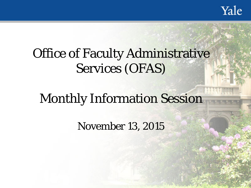Yale

# Office of Faculty Administrative Services (OFAS)

# Monthly Information Session

November 13, 2015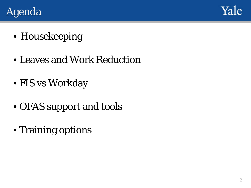



- Housekeeping
- Leaves and Work Reduction
- FIS vs Workday
- OFAS support and tools
- Training options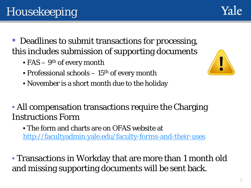# Housekeeping

- Deadlines to submit transactions for processing, this includes submission of supporting documents
	- $FAS 9<sup>th</sup>$  of every month
	- Professional schools  $-15<sup>th</sup>$  of every month
	- November is a short month due to the holiday

#### • All compensation transactions require the Charging Instructions Form

• The form and charts are on OFAS website at <http://facultyadmin.yale.edu/faculty-forms-and-their-uses>

• Transactions in Workday that are more than 1 month old and missing supporting documents will be sent back.



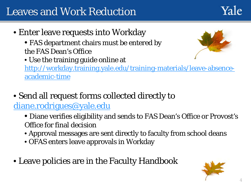## Leaves and Work Reduction

Yale

- Enter leave requests into Workday
	- FAS department chairs must be entered by the FAS Dean's Office
	- Use the training guide online at



[http://workday.training.yale.edu/training-materials/leave-absence](http://workday.training.yale.edu/training-materials/leave-absence-academic-time)academic-time

- Send all request forms collected directly to [diane.rodrigues@yale.edu](mailto:diane.rodrigues@yale.edu)
	- Diane verifies eligibility and sends to FAS Dean's Office or Provost's Office for final decision
	- Approval messages are sent directly to faculty from school deans
	- OFAS enters leave approvals in Workday
- Leave policies are in the Faculty Handbook

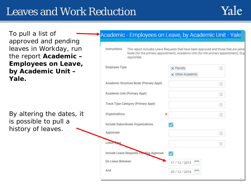### Leaves and Work Reduction

5

To pull a list of approved and pending leaves in Workday, run the report **Academic – Employees on Leave, by Academic Unit – Yale.**

By altering the dates, it is possible to pull a history of leaves.

| Instructions<br>Appointee.              | This report includes Leave Requests that have been approved and those that are pend<br>Node (for the primary appointment), Academic Unit (for the primary appointment), Org |
|-----------------------------------------|-----------------------------------------------------------------------------------------------------------------------------------------------------------------------------|
| Employee Type                           | 汪<br>$\times$ Faculty<br>X Other Academic                                                                                                                                   |
| Academic Structure Node (Primary Appt)  | 逼                                                                                                                                                                           |
| Academic Unit (Primary Appt)            | 洼                                                                                                                                                                           |
| Track Type Category (Primary Appt)      | 逼                                                                                                                                                                           |
| Organizations<br>*                      | 這                                                                                                                                                                           |
| Include Subordinate Organizations       |                                                                                                                                                                             |
| Appointee                               | ⋿                                                                                                                                                                           |
| Leave Time                              | $\frac{1}{2}$                                                                                                                                                               |
| Include Leave Requests Pending Approval |                                                                                                                                                                             |
| On Leave Between                        | 11/12/2015                                                                                                                                                                  |
| And                                     | 05/12/2016                                                                                                                                                                  |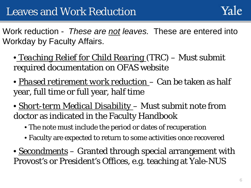Work reduction - *These are not leaves.* These are entered into Workday by Faculty Affairs.

- *Teaching Relief for Child Rearing* (TRC) Must submit required documentation on OFAS website
- *Phased retirement work reduction*  Can be taken as half year, full time or full year, half time
- *Short-term Medical Disability*  Must submit note from doctor as indicated in the Faculty Handbook
	- The note must include the period or dates of recuperation
	- Faculty are expected to return to some activities once recovered
- *Secondments* Granted through special arrangement with Provost's or President's Offices, e.g. teaching at Yale-NUS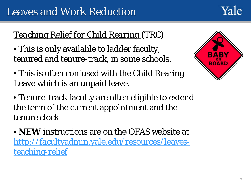

#### *Teaching Relief for Child Rearing* (TRC)

• This is only available to ladder faculty, tenured and tenure-track, in some schools.

- ARY **BOARD**
- This is often confused with the Child Rearing Leave which is an unpaid leave.
- Tenure-track faculty are often eligible to extend the term of the current appointment and the tenure clock
- **NEW** instructions are on the OFAS website at [http://facultyadmin.yale.edu/resources/leaves](http://facultyadmin.yale.edu/resources/leaves-teaching-relief)teaching-relief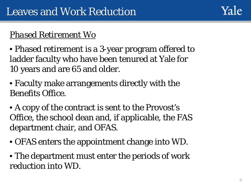

#### *Phased Retirement Wo*

- Phased retirement is a 3-year program offered to ladder faculty who have been tenured at Yale for 10 years and are 65 and older.
- Faculty make arrangements directly with the Benefits Office.
- A copy of the contract is sent to the Provost's Office, the school dean and, if applicable, the FAS department chair, and OFAS.
- OFAS enters the appointment change into WD.
- The department must enter the periods of work reduction into WD.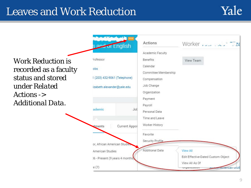### Leaves and Work Reduction



Work Reduction is recorded as a faculty status and stored under *Related Actions -> Additional Data.*

| s and of English                                                  |               | Actions                                                                        | Worker 28                                                               |
|-------------------------------------------------------------------|---------------|--------------------------------------------------------------------------------|-------------------------------------------------------------------------|
|                                                                   |               | Academic Faculty                                                               |                                                                         |
| <sup>2</sup> rofessor                                             |               | <b>Benefits</b>                                                                | View Team                                                               |
| obs<br>1 (203) 432-9061 (Telephone)<br>izabeth.alexander@yale.edu |               | Calendar<br>Committee Membership<br>Compensation<br>Job Change<br>Organization |                                                                         |
|                                                                   |               | Payment                                                                        |                                                                         |
| ademic                                                            | Job           | Payroll<br>Personal Data                                                       |                                                                         |
|                                                                   |               | Time and Leave                                                                 |                                                                         |
| tments                                                            | Current Appoi | Worker History                                                                 |                                                                         |
|                                                                   |               | Favorite                                                                       |                                                                         |
| or, African American Studies                                      |               | Security Profile                                                               |                                                                         |
| American Studies<br>16 - Present (9 years 4 months)               |               | Additional Data                                                                | <b>View All</b><br>Edit Effective-Dated Custom Object<br>View All As Of |
| e(7)                                                              |               |                                                                                | <b>August American Stud</b><br>vrgunnzuuvm                              |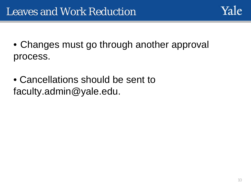- Changes must go through another approval process.
- Cancellations should be sent to faculty.admin@yale.edu.

Yale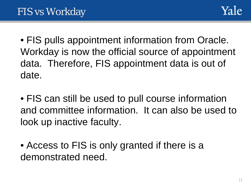

• FIS pulls appointment information from Oracle. Workday is now the official source of appointment data. Therefore, FIS appointment data is out of date.

• FIS can still be used to pull course information and committee information. It can also be used to look up inactive faculty.

• Access to FIS is only granted if there is a demonstrated need.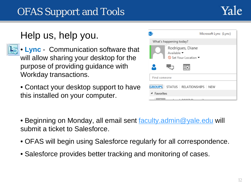## OFAS Support and Tools

### Help us, help you.

- **Lync** Communication software that will allow sharing your desktop for the purpose of providing guidance with Workday transactions.
	- Contact your desktop support to have this installed on your computer.

|                         | Microsoft Lync (Lync)                                  |  |  |  |
|-------------------------|--------------------------------------------------------|--|--|--|
| What's happening today? |                                                        |  |  |  |
|                         | Rodrigues, Diane<br>Available •<br>Set Your Location ▼ |  |  |  |
|                         |                                                        |  |  |  |
| Find someone            |                                                        |  |  |  |
|                         | <b>GROUPS</b> STATUS RELATIONSHIPS NEW                 |  |  |  |
| Favorites               |                                                        |  |  |  |
|                         |                                                        |  |  |  |

- Beginning on Monday, all email sent **faculty.admin@yale.edu** will submit a ticket to Salesforce.
- OFAS will begin using Salesforce regularly for all correspondence.
- Salesforce provides better tracking and monitoring of cases.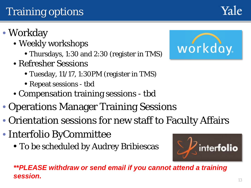- Weekly workshops
	- Thursdays, 1:30 and 2:30 (register in TMS)
- Refresher Sessions
	- Tuesday, 11/17, 1:30PM (register in TMS)
	- Repeat sessions tbd
- Compensation training sessions tbd
- Operations Manager Training Sessions
- Orientation sessions for new staff to Faculty Affairs
- Interfolio ByCommittee
	- To be scheduled by Audrey Bribiescas



inter**folio**